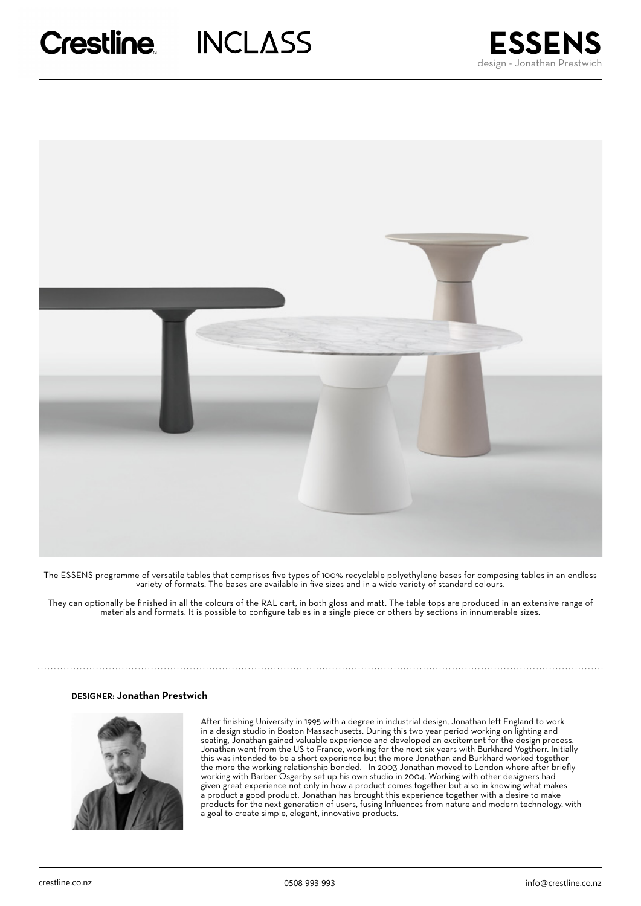



The ESSENS programme of versatile tables that comprises five types of 100% recyclable polyethylene bases for composing tables in an endless variety of formats. The bases are available in five sizes and in a wide variety of standard colours.

They can optionally be finished in all the colours of the RAL cart, in both gloss and matt. The table tops are produced in an extensive range of materials and formats. It is possible to configure tables in a single piece or others by sections in innumerable sizes.

## **DESIGNER: Jonathan Prestwich**



After finishing University in 1995 with a degree in industrial design, Jonathan left England to work in a design studio in Boston Massachusetts. During this two year period working on lighting and seating, Jonathan gained valuable experience and developed an excitement for the design process. Jonathan went from the US to France, working for the next six years with Burkhard Vogtherr. Initially this was intended to be a short experience but the more Jonathan and Burkhard worked together the more the working relationship bonded. In 2003 Jonathan moved to London where after briefly working with Barber Osgerby set up his own studio in 2004. Working with other designers had given great experience not only in how a product comes together but also in knowing what makes a product a good product. Jonathan has brought this experience together with a desire to make products for the next generation of users, fusing Influences from nature and modern technology, with a goal to create simple, elegant, innovative products.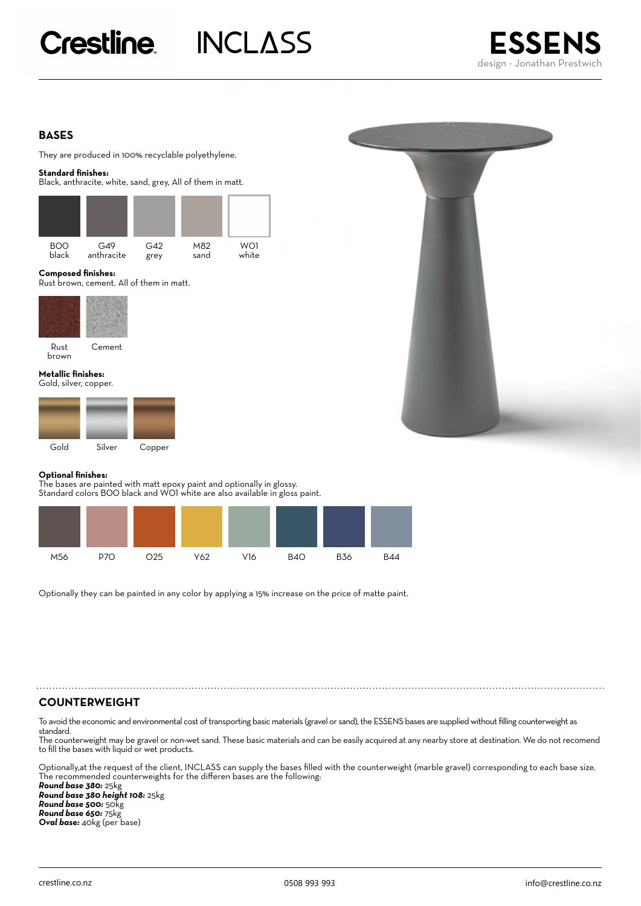# **Crestline INCLASS**



# **BASES**

They are produced in 100% recyclable polyethylene.

### **Standard finishes:**

Black, anthracite, white, sand, grey, All of them in matt.



### **Composed finishes:**

Rust brown, cement. All of them in matt.



Rust Cement brown

#### **Metallic finishes:**  Gold, silver, copper.





## **Optional finishes:**

The bases are painted with matt epoxy paint and optionally in glossy. Standard colors B00 black and W01 white are also available in gloss paint.



Optionally they can be painted in any color by applying a 15% increase on the price of matte paint.

# **COUNTERWEIGHT**

To avoid the economic and environmental cost of transporting basic materials (gravel or sand), the ESSENS bases are supplied without filling counterweight as standard.

The counterweight may be gravel or non-wet sand. These basic materials and can be easily acquired at any nearby store at destination. We do not recomend to fill the bases with liquid or wet products.

Optionally,at the request of the client, INCLASS can supply the bases filled with the counterweight (marble gravel) corresponding to each base size. The recommended counterweights for the differen bases are the following:

*Round base 380:* 25kg *Round base 380 height 108:* 25kg *Round base 500:* 50kg *Round base 650:* 75kg *Oval base:* 40kg (per base)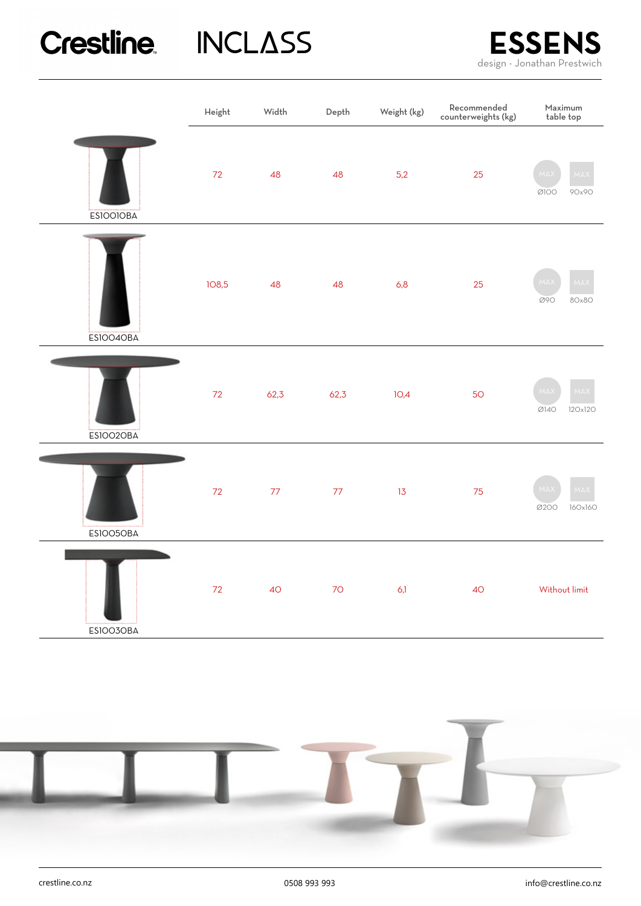# Crestline INCLASS



|                  | Height | Width | Depth | Weight (kg) | Recommended<br>counterweights (kg) | Maximum<br>table top              |  |
|------------------|--------|-------|-------|-------------|------------------------------------|-----------------------------------|--|
| <b>ESIOOIOBA</b> | 72     | 48    | 48    | 5,2         | 25                                 | MA<br><b>MAX</b><br>0100<br>90x90 |  |
| ESIOO4OBA        | 108,5  | 48    | 48    | 6,8         | 25                                 | <b>MAX</b><br>MA<br>Ø90<br>80x80  |  |
| <b>ESIOO2OBA</b> | 72     | 62,3  | 62,3  | 10,4        | <b>50</b>                          | MAX<br>MA<br>Ø140<br>120x120      |  |
| ESIOO5OBA        | 72     | 77    | $77$  | 13          | 75                                 | MAX<br>MA<br>0200<br>160x160      |  |
| ESIOO3OBA        | 72     | 40    | $70$  | 6,1         | <b>40</b>                          | Without limit                     |  |

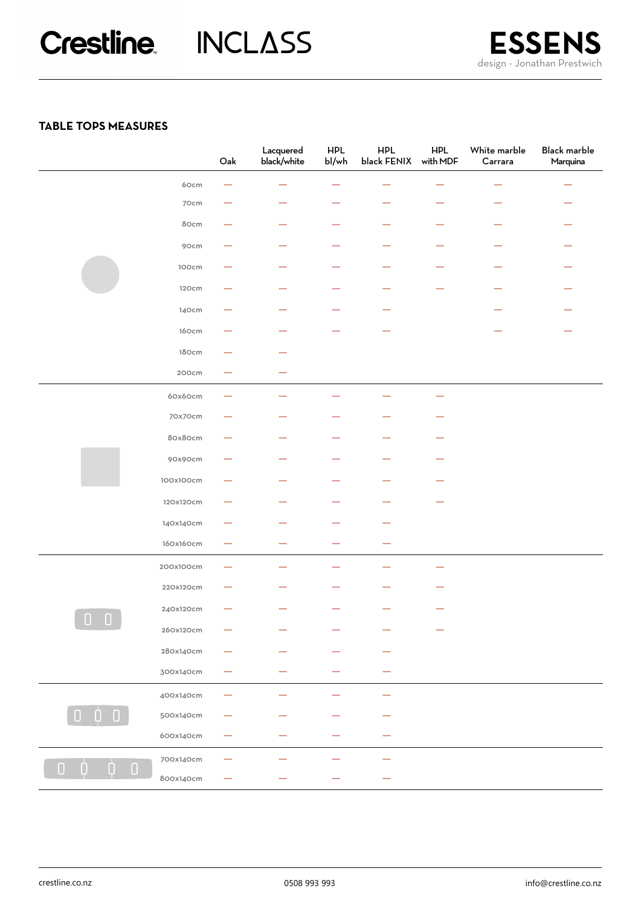# **TABLE TOPS MEASURES**

|                                                            |           | ${\sf Oak}$              | Lacquered<br>black/white | <b>HPL</b><br>bl/wh | <b>HPL</b><br>black FENIX | <b>HPL</b><br>with MDF | White marble<br>Carrara | Black marble<br>Marquina |
|------------------------------------------------------------|-----------|--------------------------|--------------------------|---------------------|---------------------------|------------------------|-------------------------|--------------------------|
|                                                            | 60cm      |                          | -                        | -                   |                           |                        |                         |                          |
|                                                            | 70cm      |                          |                          |                     |                           |                        |                         |                          |
|                                                            | 80cm      | -                        |                          | -                   |                           | —                      |                         |                          |
|                                                            | 90cm      | -                        |                          | -                   |                           | ÷                      |                         |                          |
|                                                            | 100cm     |                          |                          |                     |                           |                        |                         |                          |
|                                                            | 120cm     | --                       |                          | -                   |                           |                        |                         |                          |
|                                                            | 140cm     |                          |                          |                     |                           |                        |                         |                          |
|                                                            | 160cm     |                          |                          |                     |                           |                        |                         |                          |
|                                                            | 180cm     | --                       |                          |                     |                           |                        |                         |                          |
|                                                            | 200cm     |                          |                          |                     |                           |                        |                         |                          |
|                                                            | 60x60cm   |                          |                          |                     |                           |                        |                         |                          |
|                                                            | 70x70cm   |                          |                          |                     |                           |                        |                         |                          |
|                                                            | 80x80cm   | –                        |                          |                     |                           | -                      |                         |                          |
|                                                            | 90x90cm   |                          |                          |                     |                           |                        |                         |                          |
|                                                            | 100x100cm |                          |                          |                     |                           |                        |                         |                          |
|                                                            | 120x120cm |                          |                          |                     |                           |                        |                         |                          |
|                                                            | 140x140cm |                          |                          |                     |                           |                        |                         |                          |
|                                                            | 160x160cm | $\overline{\phantom{0}}$ | -                        |                     |                           |                        |                         |                          |
| $\begin{array}{c} \square \end{array}$<br>$\Box$           | 200x100cm |                          | -                        |                     |                           |                        |                         |                          |
|                                                            | 220x120cm |                          |                          |                     |                           |                        |                         |                          |
|                                                            | 240x120cm |                          |                          |                     |                           |                        |                         |                          |
|                                                            | 260x120cm |                          |                          |                     |                           |                        |                         |                          |
|                                                            | 280x140cm |                          |                          |                     |                           |                        |                         |                          |
|                                                            | 300x140cm |                          |                          |                     |                           |                        |                         |                          |
| 0                                                          | 400x140cm |                          |                          |                     |                           |                        |                         |                          |
|                                                            | 500x140cm |                          |                          |                     |                           |                        |                         |                          |
|                                                            | 600x140cm |                          |                          |                     |                           |                        |                         |                          |
| $\mathbf{0}$<br>$\begin{array}{c} \n\end{array}$<br>0<br>0 | 700x140cm |                          |                          |                     |                           |                        |                         |                          |
|                                                            | 800x140cm |                          |                          |                     |                           |                        |                         |                          |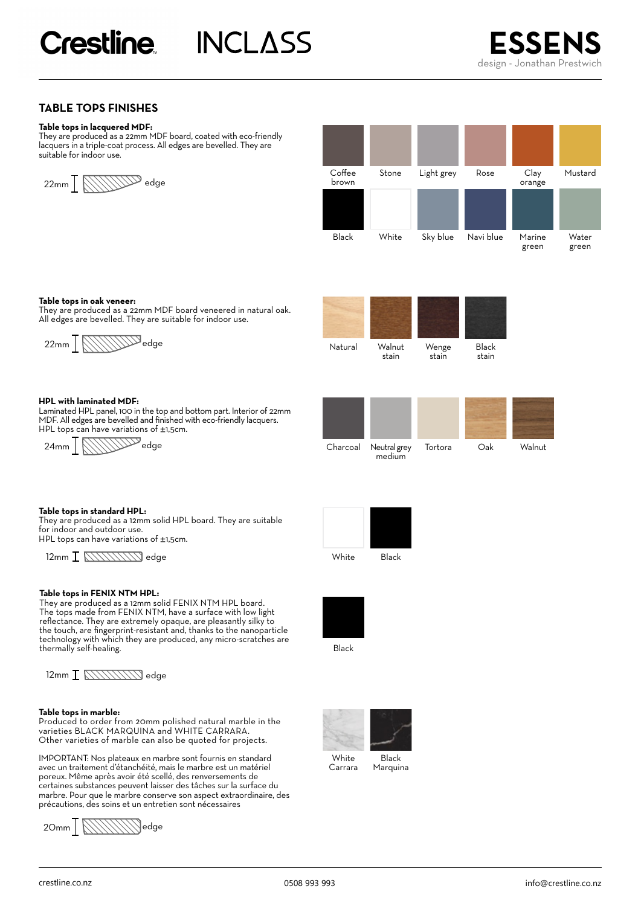**INCLASS** 



# **TABLE TOPS FINISHES**

#### **Table tops in lacquered MDF:**

They are produced as a 22mm MDF board, coated with eco-friendly lacquers in a triple-coat process. All edges are bevelled. They are suitable for indoor use.





#### **Table tops in oak veneer:**

They are produced as a 22mm MDF board veneered in natural oak. All edges are bevelled. They are suitable for indoor use.



#### **HPL with laminated MDF:**

Laminated HPL panel, 100 in the top and bottom part. Interior of 22mm MDF. All edges are bevelled and finished with eco-friendly lacquers. HPL tops can have variations of ±1,5cm.







#### **Table tops in standard HPL:**

They are produced as a 12mm solid HPL board. They are suitable for indoor and outdoor use. HPL tops can have variations of ±1,5cm.

 $12\text{mm} \frac{\sqrt{11111111}}{12\text{mm}}$  edge White Black

#### **Table tops in FENIX NTM HPL:**

They are produced as a 12mm solid FENIX NTM HPL board. The tops made from FENIX NTM, have a surface with low light reflectance. They are extremely opaque, are pleasantly silky to the touch, are fingerprint-resistant and, thanks to the nanoparticle technology with which they are produced, any micro-scratches are thermally self-healing.

 $12$ mm  $\overline{I}$   $\overline{N}$  $\overline{N}$  $\overline{N}$  $\overline{N}$  $\overline{N}$ edge

#### **Table tops in marble:**

Produced to order from 20mm polished natural marble in the varieties BLACK MARQUINA and WHITE CARRARA. Other varieties of marble can also be quoted for projects.

IMPORTANT: Nos plateaux en marbre sont fournis en standard avec un traitement d'étanchéité, mais le marbre est un matériel poreux. Même après avoir été scellé, des renversements de certaines substances peuvent laisser des tâches sur la surface du marbre. Pour que le marbre conserve son aspect extraordinaire, des précautions, des soins et un entretien sont nécessaires

$$
20mm\underline{\textcolor{red}{\textbf{[1]}}\textcolor{blue}{\textbf{[1]}}\textcolor{blue}{\textbf{[2]}}}
$$





Black



Marquina Carrara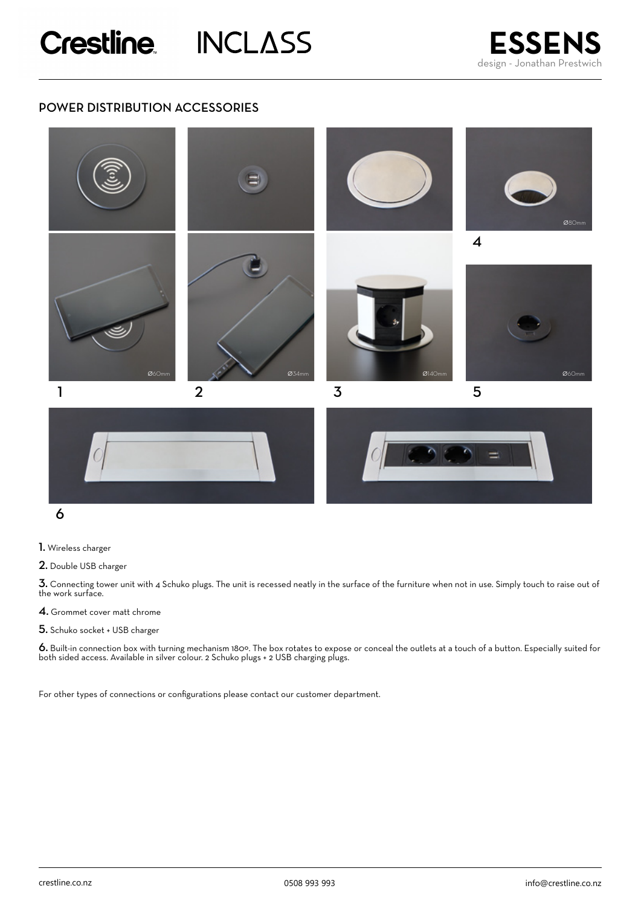# POWER DISTRIBUTION ACCESSORIES





1. Wireless charger

2. Double USB charger

3. Connecting tower unit with 4 Schuko plugs. The unit is recessed neatly in the surface of the furniture when not in use. Simply touch to raise out of the work surface.

4. Grommet cover matt chrome

5. Schuko socket + USB charger

6. Built-in connection box with turning mechanism 180º. The box rotates to expose or conceal the outlets at a touch of a button. Especially suited for both sided access. Available in silver colour. 2 Schuko plugs + 2 USB charging plugs.

For other types of connections or configurations please contact our customer department.